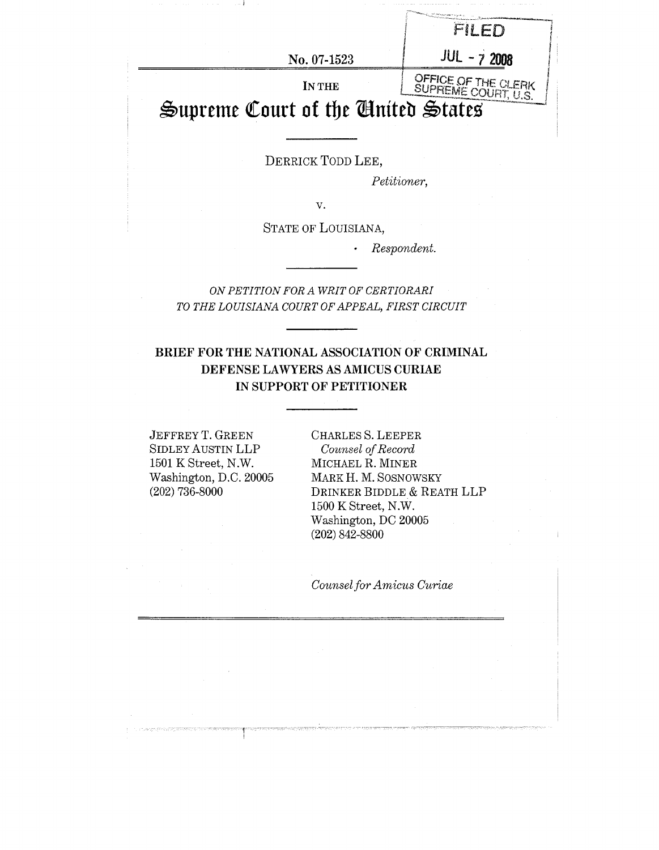| No. 07-1523                         | $JUL - 72008$                              |
|-------------------------------------|--------------------------------------------|
| IN THE                              | OFFICE OF THE CLERK<br>SUPREME COURT, U.S. |
| Supreme Court of the Ginited States |                                            |

DERRICK TODD LEE,

*Petitioner,*

*v.*

STATE OF LOUISIANA,

*¯ Respondent.*

*ON PETITION FOR A WRIT OF CERTIORARI TO THE LOUISIANA COURT OF APPEAL, FIRST CIRCUIT*

## **BRIEF FOR THE NATIONAL ASSOCIATION OF CRIMINAL DEFENSE LAWYERS AS AMICUS CURIAE IN SUPPORT OF PETITIONER**

JEFFREY T. GREEN SIDLEY AUSTIN LLP 1501 K Street, N.W. Washington, D.C. 20005 (202) 736-8000

CHARLES S. LEEPER *Counsel of Record* MICHAEL R. MINER MARK H. M. SOSNOWSKY DRINKER BIDDLE & REATH LLP 1500 K Street, N.W. Washington, DC 20005 (202) 842-8800

*Counsel for Amicus Curiae*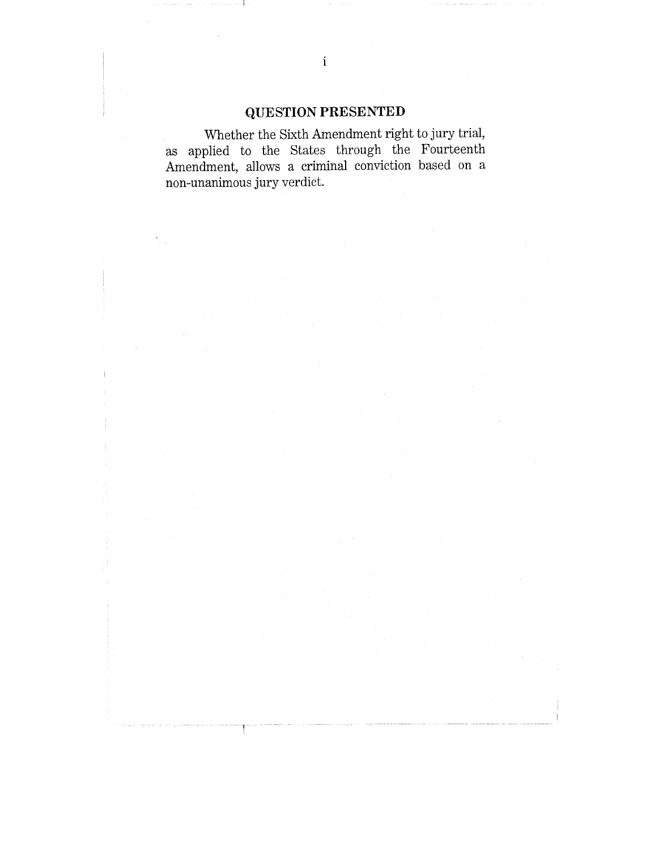# **QUESTION PRESENTED**

Whether the Sixth Amendment right to jury trial, as applied to the States through the Fourteenth Amendment, allows a criminal conviction based on a non-unanimous jury verdict.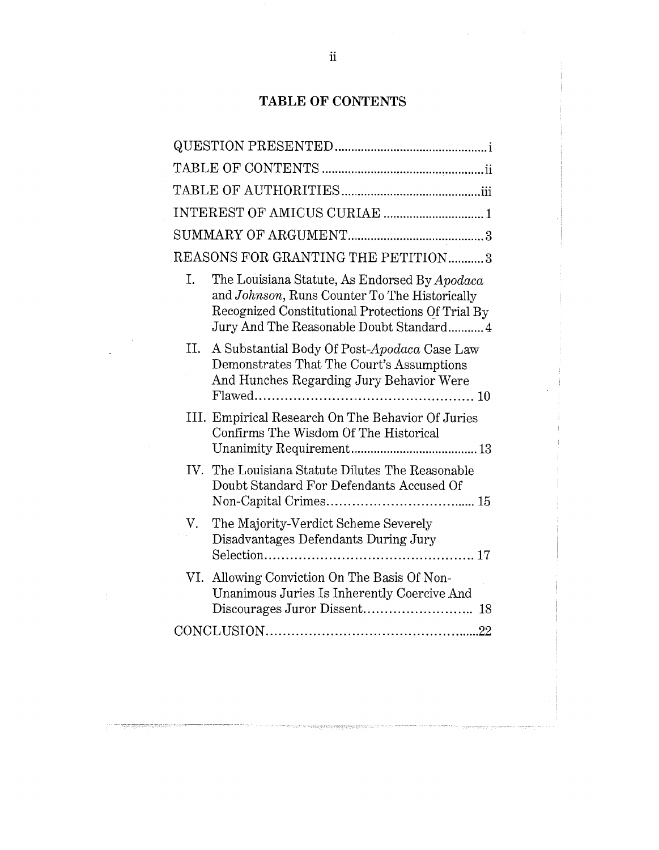# **TABLE OF CONTENTS**

|    | REASONS FOR GRANTING THE PETITION3                                                                                                                                                              |
|----|-------------------------------------------------------------------------------------------------------------------------------------------------------------------------------------------------|
| I. | The Louisiana Statute, As Endorsed By Apodaca<br>and Johnson, Runs Counter To The Historically<br>Recognized Constitutional Protections Of Trial By<br>Jury And The Reasonable Doubt Standard 4 |
| П. | A Substantial Body Of Post-Apodaca Case Law<br>Demonstrates That The Court's Assumptions<br>And Hunches Regarding Jury Behavior Were                                                            |
|    | III. Empirical Research On The Behavior Of Juries<br>Confirms The Wisdom Of The Historical                                                                                                      |
|    | IV. The Louisiana Statute Dilutes The Reasonable<br>Doubt Standard For Defendants Accused Of                                                                                                    |
| V. | The Majority-Verdict Scheme Severely<br>Disadvantages Defendants During Jury                                                                                                                    |
|    | VI. Allowing Conviction On The Basis Of Non-<br>Unanimous Juries Is Inherently Coercive And                                                                                                     |
|    |                                                                                                                                                                                                 |
|    |                                                                                                                                                                                                 |

.<br>The first continue in the second start of the second property supports

 $\bar{1}$ 

 $\bar{\lambda}$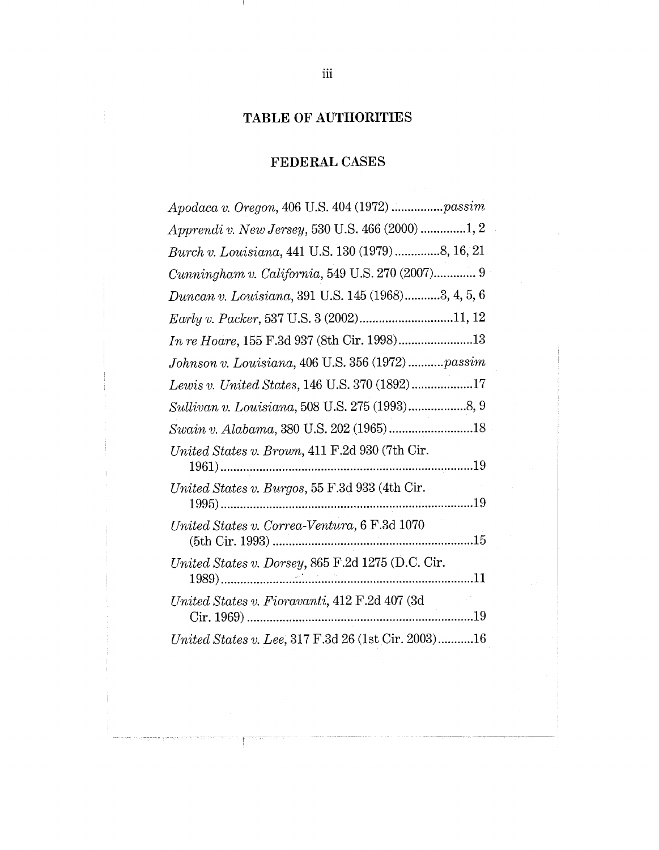# **TABLE OF AUTHORITIES**

# **FEDERAL CASES**

| Apodaca v. Oregon, 406 U.S. 404 (1972) passim                    |
|------------------------------------------------------------------|
| Apprendi v. New Jersey, 530 U.S. 466 (2000) 1, 2                 |
| Burch v. Louisiana, 441 U.S. 130 (1979) 8, 16, 21                |
| Cunningham v. California, 549 U.S. 270 (2007) 9                  |
| Duncan v. Louisiana, 391 U.S. 145 (1968)3, 4, 5, 6               |
|                                                                  |
| In re Hoare, 155 F.3d 937 (8th Cir. 1998)13                      |
| Johnson v. Louisiana, 406 U.S. 356 (1972) passim                 |
| Lewis v. United States, 146 U.S. 370 (1892)17                    |
|                                                                  |
| Swain v. Alabama, 380 U.S. 202 (1965) 18                         |
| United States v. Brown, 411 F.2d 930 (7th Cir.<br>$1961)$        |
| United States v. Burgos, 55 F.3d 933 (4th Cir.<br>. 19<br>$1995$ |
| United States v. Correa-Ventura, 6 F.3d 1070                     |
| United States v. Dorsey, 865 F.2d 1275 (D.C. Cir.                |
| United States v. Fioravanti, 412 F.2d 407 (3d<br>$Cir. 1969)$    |
| United States v. Lee, 317 F.3d 26 (1st Cir. 2003)16              |

 $\mathbf{I}$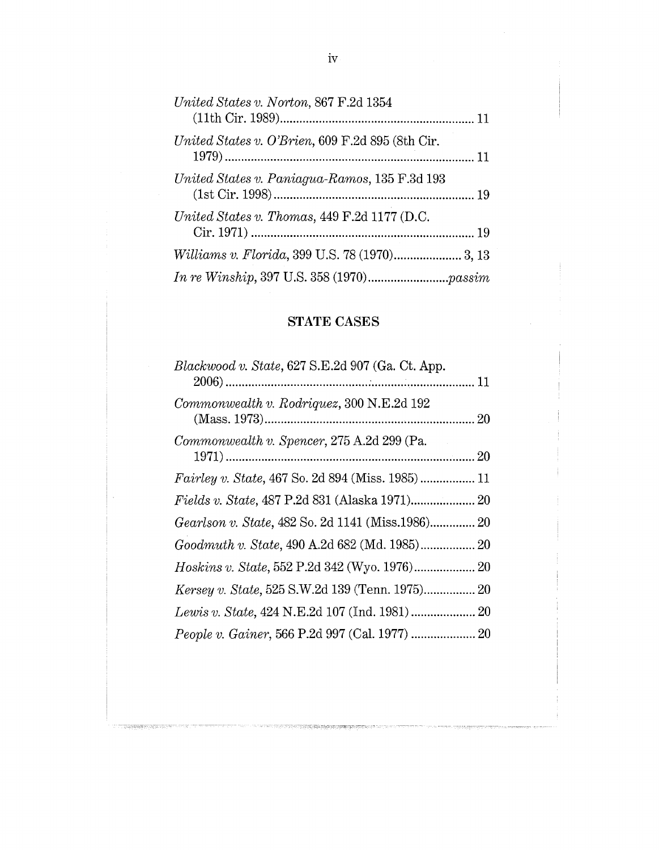| United States v. Norton, 867 F.2d 1354           |
|--------------------------------------------------|
| United States v. O'Brien, 609 F.2d 895 (8th Cir. |
| United States v. Paniagua-Ramos, 135 F.3d 193    |
| United States v. Thomas, 449 F.2d 1177 (D.C.     |
|                                                  |
|                                                  |

# STATE CASES

| Blackwood v. State, 627 S.E.2d 907 (Ga. Ct. App.  |  |
|---------------------------------------------------|--|
|                                                   |  |
| Commonwealth v. Rodriquez, 300 N.E.2d 192         |  |
|                                                   |  |
| Commonwealth v. Spencer, 275 A.2d 299 (Pa.        |  |
|                                                   |  |
|                                                   |  |
|                                                   |  |
| Gearlson v. State, 482 So. 2d 1141 (Miss.1986) 20 |  |
|                                                   |  |
|                                                   |  |
|                                                   |  |
|                                                   |  |
|                                                   |  |

ದರ ಪ್ರಕಟ್ಟಣಗಳು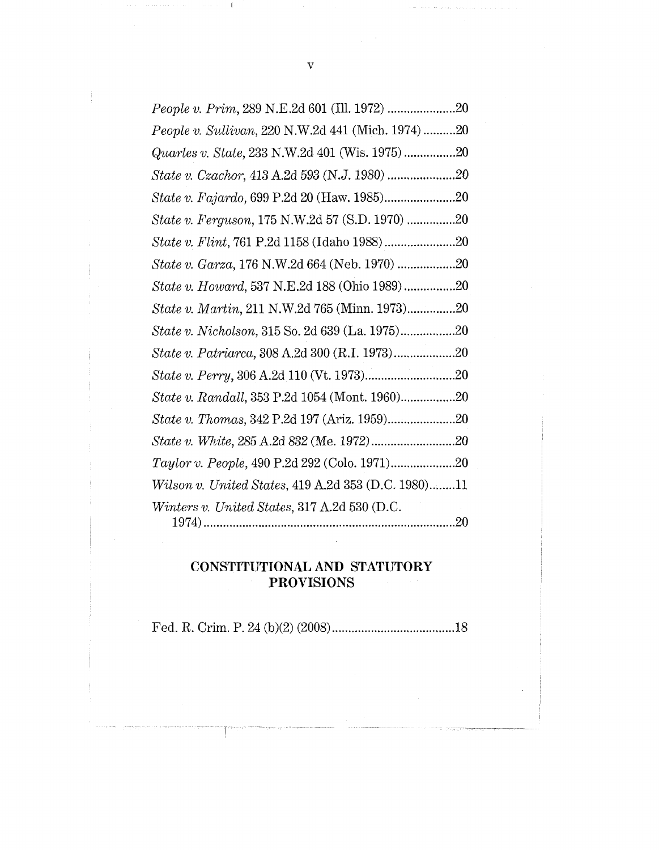| People v. Sullivan, 220 N.W.2d 441 (Mich. 1974) 20  |  |
|-----------------------------------------------------|--|
|                                                     |  |
|                                                     |  |
|                                                     |  |
| State v. Ferguson, 175 N.W.2d 57 (S.D. 1970) 20     |  |
|                                                     |  |
| State v. Garza, 176 N.W.2d 664 (Neb. 1970) 20       |  |
| State v. Howard, 537 N.E.2d 188 (Ohio 1989)20       |  |
| State v. Martin, 211 N.W.2d 765 (Minn. 1973)20      |  |
|                                                     |  |
| State v. Patriarca, 308 A.2d 300 (R.I. 1973)20      |  |
|                                                     |  |
|                                                     |  |
| State v. Thomas, 342 P.2d 197 (Ariz. 1959)20        |  |
|                                                     |  |
|                                                     |  |
| Wilson v. United States, 419 A.2d 353 (D.C. 1980)11 |  |
| Winters v. United States, 317 A.2d 530 (D.C.        |  |
|                                                     |  |

# **CONSTITUTIONAL AND STATUTORY PROVISIONS**

Fed. R. Crim. P. 24 (b)(2) (2008) ......................................18

 $\overline{\mathsf{T}}$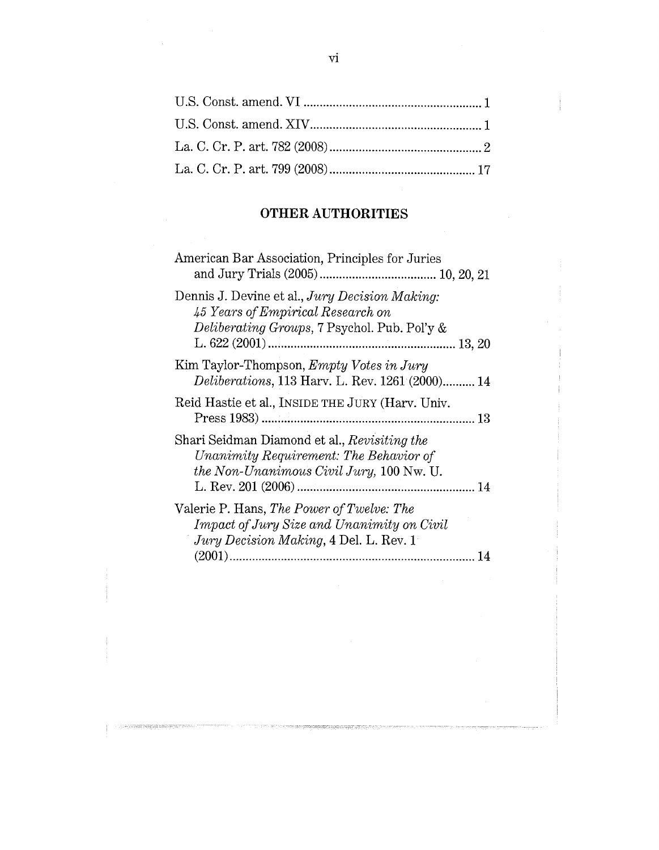# **OTHER AUTHORITIES**

| American Bar Association, Principles for Juries                                                                                          |
|------------------------------------------------------------------------------------------------------------------------------------------|
| Dennis J. Devine et al., Jury Decision Making:<br>45 Years of Empirical Research on<br>Deliberating Groups, 7 Psychol. Pub. Pol'y &      |
| Kim Taylor-Thompson, Empty Votes in Jury<br>Deliberations, 113 Harv. L. Rev. 1261 (2000) 14                                              |
| Reid Hastie et al., INSIDE THE JURY (Harv. Univ.                                                                                         |
| Shari Seidman Diamond et al., Revisiting the<br>Unanimity Requirement: The Behavior of<br>the Non-Unanimous Civil Jury, 100 Nw. U.       |
| Valerie P. Hans, The Power of Twelve: The<br><b>Impact of Jury Size and Unanimity on Civil</b><br>Jury Decision Making, 4 Del. L. Rev. 1 |
|                                                                                                                                          |

n dari 1940) in konkrete en prese unterstate en elektroniken (1950). De han

सम्बद्धाः स्थापनम्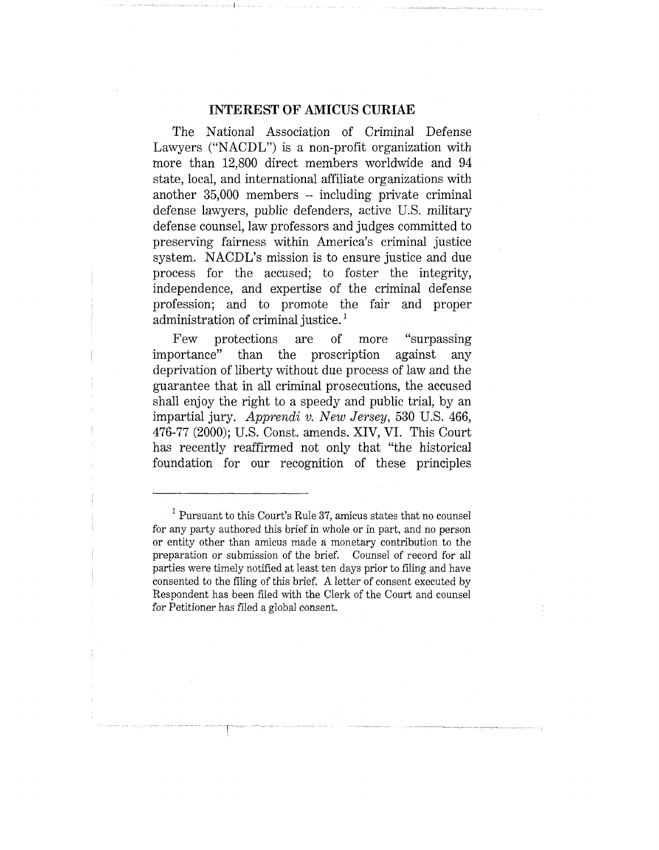### **INTEREST OF AMICUS CURIAE**

The National Association of Criminal Defense Lawyers ("NACDL") is a non-profit organization with more than 12,800 direct members worldwide and 94 state, local, and international affiliate organizations with another  $35,000$  members  $-$  including private criminal defense lawyers, public defenders, active U.S. military defense counsel, law professors and judges committed to preserving fairness within America's criminal justice system. NACDL's mission is to ensure justice and due process for the accused; to foster the integrity, independence, and expertise of the criminal defense profession; and to promote the fair and proper administration of criminal justice.<sup>1</sup>

Few protections are of more "surpassing importance" than the proscription against any deprivation of liberty without due process of law and the guarantee that in all criminal prosecutions, the accused shall enjoy the right to a speedy and public trial, by an impartial jury. *Apprendi v. New Jersey,* 530 U.S. 466, 476-77 (2000); U.S. Const. amends. XIV, VI. This Court has recently reaffirmed not only that "the historical foundation for our recognition of these principles

 $1$  Pursuant to this Court's Rule 37, amicus states that no counsel for any party authored this brief in whole or in part, and no person or entity other than amicus made a monetary contribution to the preparation or submission of the brief. Counsel of record for all parties were timely notified at least ten days prior to filing and have consented to the filing of this brief. A letter of consent executed by Respondent has been filed with the Clerk of the Court and counsel for Petitioner has filed a global consent.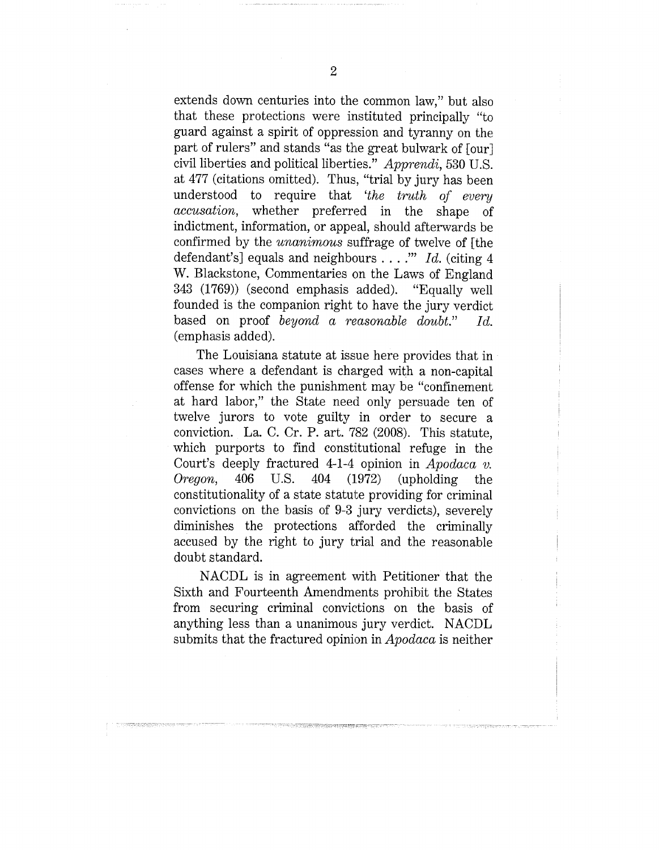extends down centuries into the common law," but also that these protections were instituted principally "to guard against a spirit of oppression and tyranny on the part of rulers" and stands "as the great bulwark of [our] civil liberties and political liberties." *Apprendi,* 530 U.S. at 477 (citations omitted). Thus, "trial by jury has been understood to require that *'the truth of every accusation,* whether preferred in the shape of indictment, information, or appeal, should afterwards be confirmed by the *unanimous* suffrage of twelve of [the defendant's] equals and neighbours *.... '" Id.* (citing 4 W. Blackstone, Commentaries on the Laws of England 343 (1769)) (second emphasis added). "Equally well founded is the companion right to have the jury verdict based on proof *beyond a reasonable doubt." Id.* (emphasis added).

The Louisiana statute at issue here provides that in cases where a defendant is charged with a non-capital offense for which the punishment may be "confinement at hard labor," the State need only persuade ten of twelve jurors to vote guilty in order to secure a conviction. La. C. Cr. P. art. 782 (2008). This statute, which purports to find constitutional refuge in the Court's deeply fractured 4-1-4 opinion in *Apodaca v. Oregon,* 406 U.S. 404 (1972) (upholding the constitutionality of a state statute providing for criminal convictions on the basis of 9-3 jury verdicts), severely diminishes the protections afforded the criminally accused by the right to jury trial and the reasonable doubt standard.

NACDL is in agreement with Petitioner that the Sixth and Fourteenth Amendments prohibit the States from securing criminal convictions on the basis of anything less than a unanimous jury verdict. NACDL submits that the fractured opinion in *Apodaca* is neither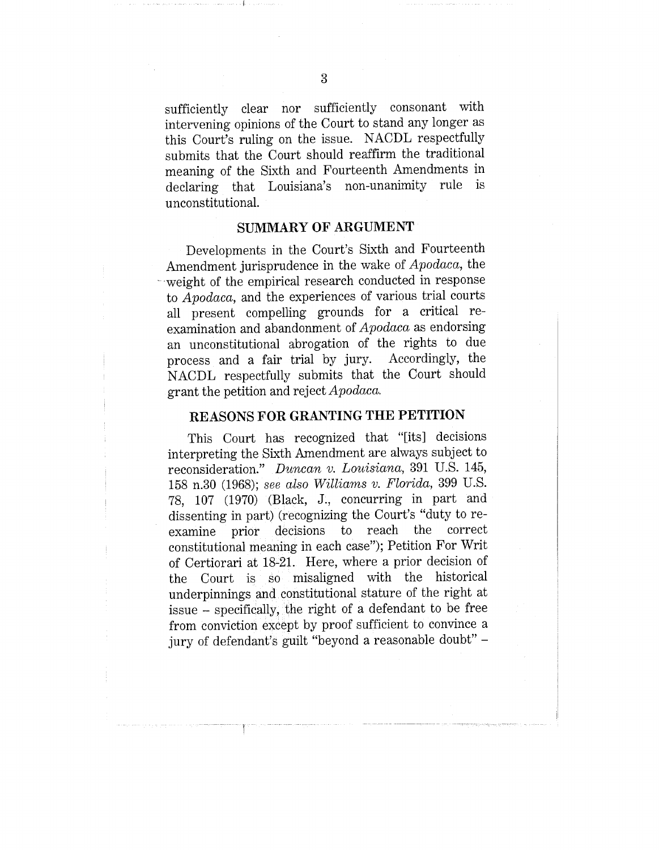sufficiently clear nor sufficiently consonant with intervening opinions of the Court to stand any longer as this Court's ruling on the issue. NACDL respectfully submits that the Court should reaffirm the traditional meaning of the Sixth and Fourteenth Amendments in declaring that Louisiana's non-unanimity rule is unconstitutional.

### **SUMMARY OF ARGUMENT**

Developments in the Court's Sixth and Fourteenth Amendment jurisprudence in the wake of *Apodaca,* the weight of the empirical research conducted in response to *Apodaca,* and the experiences of various trial courts all present compelling grounds for a critical reexamination and abandonment of *Apodaca* as endorsing an unconstitutional abrogation of the rights to due<br>process and a fair trial by jury. Accordingly, the process and a fair trial by jury. NACDL respectfully submits that the Court should grant the petition and reject *Apodaca.*

### **REASONS FOR GRANTING THE PETITION**

This Court has recognized that "[its] decisions interpreting the Sixth Amendment are always subject to reconsideration." *Duncan v. Louisiana,* 391 U.S. 145, 158 n.30 (1968); *see also Williams v. Florida,* 399 U.S. 78, 107 (1970) (Black, J., concurring in part and dissenting in part) (recognizing the Court's "duty to re-<br>examine prior decisions to reach the correct examine prior decisions constitutional meaning in each case"); Petition For Writ of Certiorari at 18-21. Here, where a prior decision of the Court is so misaligned with the historical underpinnings and constitutional stature of the right at issue - specifically, the right of a defendant to be free from conviction except by proof sufficient to convince a jury of defendant's guilt "beyond a reasonable doubt" -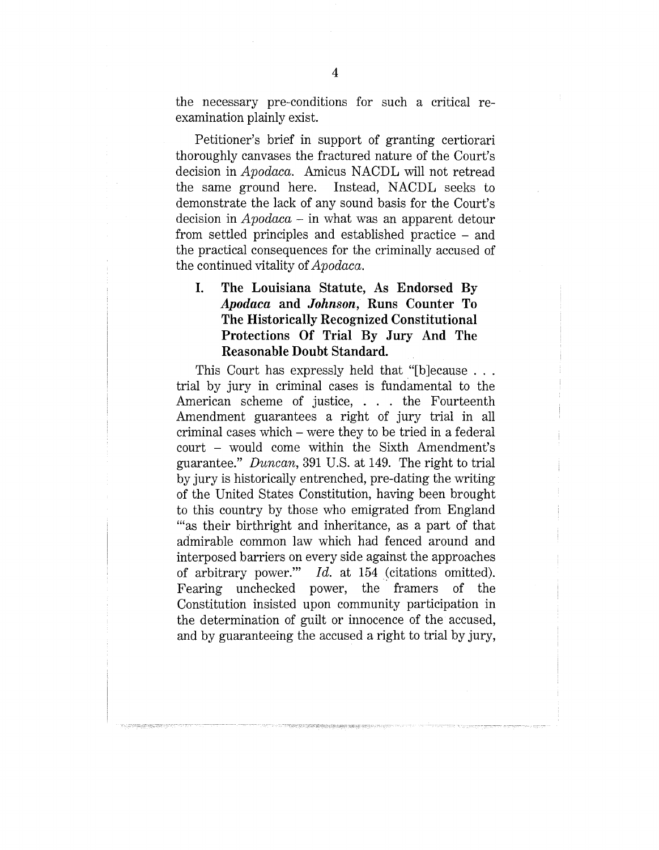the necessary pre-conditions for such a critical examination plainly exist.

Petitioner's brief in support of granting certiorari thoroughly canvases the fractured nature of the Court's decision in *Apodaca.* Amicus NACDL will not retread the same ground here. Instead, NACDL seeks to demonstrate the lack of any sound basis for the Court's decision in *Apodaca -* in what was an apparent detour from settled principles and established practice - and the practical consequences for the criminally accused of the continued vitality *of Apodaca.*

## **I. The Louisiana Statute, As Endorsed By** *Apodaca* **and** *Johnson,* **Runs Counter To The Historically Recognized Constitutional Protections Of Trial By Jury And The Reasonable Doubt Standard.**

This Court has expressly held that "[b]ecause . . . trial by jury in criminal cases is fundamental to the American scheme of justice, . . . the Fourteenth Amendment guarantees a right of jury trial in all criminal cases which - were they to be tried in a federal court - would come within the Sixth Amendment's guarantee." *Duncan,* 391 U.S. at 149. The right to trial by jury is historically entrenched, pre-dating the writing of the United States Constitution, having been brought to this country by those who emigrated from England '"as their birthright and inheritance, as a part of that admirable common law which had fenced around and interposed barriers on every side against the approaches of arbitrary power." *Id.* at 154 (citations omitted). Fearing unchecked power, the framers of the Constitution insisted upon community participation in the determination of guilt or innocence of the accused, and by guaranteeing the accused a right to trial by jury,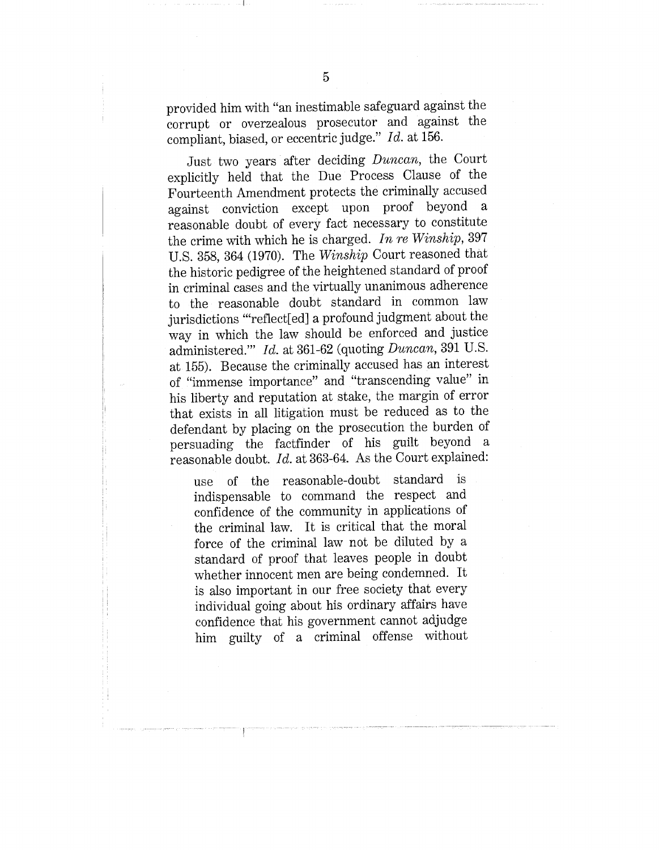provided him with "an inestimable safeguard against the corrupt or overzealous prosecutor and against the compliant, biased, or eccentric judge." *Id.* at 156.

Just two years after deciding *Duncan*, the Court explicitly held that the Due Process Clause of the Fourteenth Amendment protects the criminally accused against conviction except upon proof beyond a reasonable doubt of every fact necessary to constitute the crime with which he is charged. *In re Winship,* 397 U.S. 358, 364 (1970). The *Winship* Court reasoned that the historic pedigree of the heightened standard of proof in criminal cases and the virtually unanimous adherence to the reasonable doubt standard in common law jurisdictions '"reflect[ed] a profound judgment about the way in which the law should be enforced and justice administered.'" *Id.* at 361-62 (quoting *Duncan,* 391 U.S. at 155). Because the criminally accused has an interest of "immense importance" and "transcending value" in his liberty and reputation at stake, the margin of error that exists in all litigation must be reduced as to the defendant by placing on the prosecution the burden of persuading the factfinder of his guilt beyond a reasonable doubt. *Id.* at 363-64. As the Court explained:

use of the reasonable-doubt standard is indispensable to command the respect and confidence of the community in applications of the criminal law. It is critical that the moral force of the criminal law not be diluted by a standard of proof that leaves people in doubt whether innocent men are being condemned. It is also important in our free society that every individual going about his ordinary affairs have confidence that his government cannot adjudge him guilty of a criminal offense without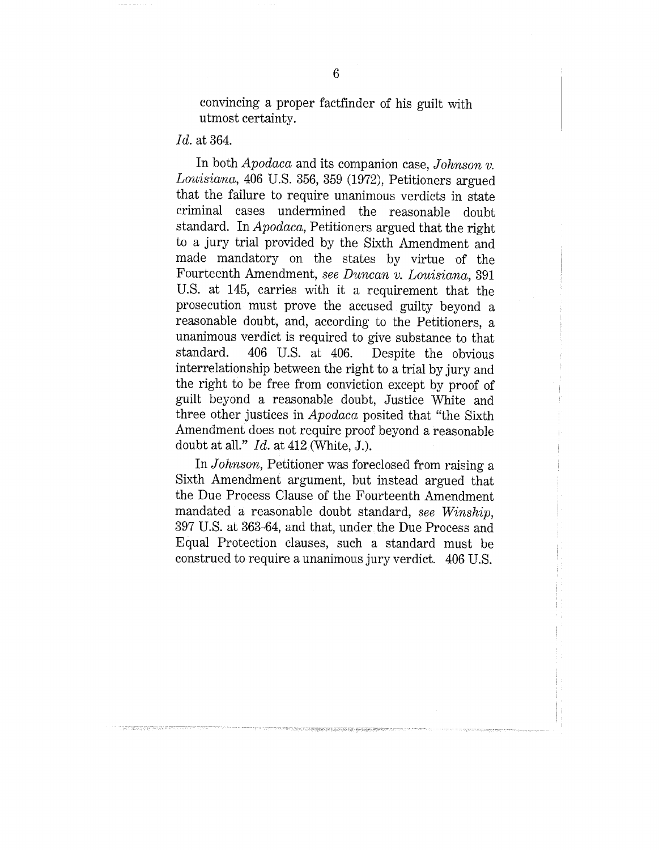convincing a proper factfinder of his guilt with utmost certainty.

### *Id.* at 364.

In both *Apodaca* and its companion case, *Johnson v. Louisiana,* 406 U.S. 356, 359 (1972), Petitioners argued that the failure to require unanimous verdicts in state criminal cases undermined the reasonable doubt standard. In *Apodaca,* Petitioners argued that the right to a jury trial provided by the Sixth Amendment and made mandatory on the states by virtue of the Fourteenth Amendment, *see Duncan v. Louisiana*, 391 U.S. at 145, carries with it a requirement that the prosecution must prove the accused guilty beyond a reasonable doubt, and, according to the Petitioners, a unanimous verdict is required to give substance to that standard. 406 U.S. at 406. Despite the obvious interrelationship between the right to a trial by jury and the right to be free from conviction except by proof of guilt beyond a reasonable doubt, Justice White and three other justices in *Apodaca* posited that "the Sixth Amendment does not require proof beyond a reasonable doubt at all." *Id.* at 412 (White, J.).

In *Johnson,* Petitioner was foreclosed from raising a Sixth Amendment argument, but instead argued that the Due Process Clause of the Fourteenth Amendment mandated a reasonable doubt standard, *see Winship*, 397 U.S. at 363-64, and that, under the Due Process and Equal Protection clauses, such a standard must be construed to require a unanimous jury verdict. 406 U.S.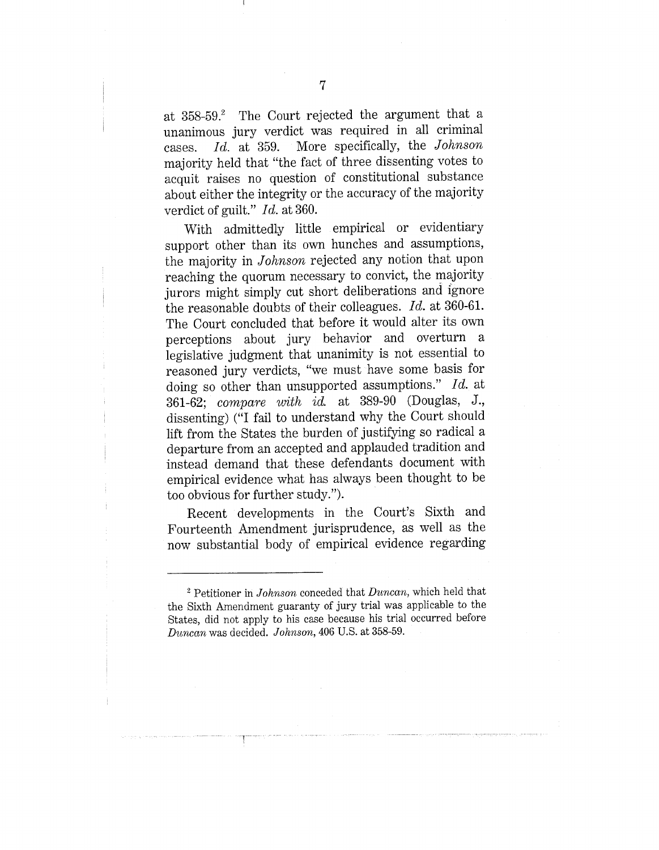at 358-59.<sup>2</sup> The Court rejected the argument that a unanimous jury verdict was required in all criminal cases. *Id.* at 359. More specifically, the *Johnson* majority held that "the fact of three dissenting votes to acquit raises no question of constitutional substance about either the integrity or the accuracy of the majority verdict of guilt." *Id.* at 360.

With admittedly little empirical or evidentiary support other than its own hunches and assumptions, the majority in *Johnson* rejected any notion that upon reaching the quorum necessary to convict, the majority jurors might simply cut short deliberations and ignore the reasonable doubts of their colleagues. *Id.* at 360-61. The Court concluded that before it would alter its own perceptions about jury behavior and overturn a legislative judgment that unanimity is not essential to reasoned jury verdicts, "we must have some basis for doing so other than unsupported assumptions." *Id.* at 361-62; *compare ~vith id.* at 389-90 (Douglas, J., dissenting) ("I fail to understand why the Court should lift from the States the burden of justifying so radical a departure from an accepted and applauded tradition and instead demand that these defendants document with empirical evidence what has always been thought to be too obvious for further study.").

Recent developments in the Court's Sixth and Fourteenth Amendment jurisprudence, as well as the now substantial body of empirical evidence regarding

<sup>&</sup>lt;sup>2</sup> Petitioner in *Johnson* conceded that *Duncan*, which held that the Sixth Amendment guaranty of jury trial was applicable to the States, did not apply to his case because his trial occurred before *D~ncan* was decided. *Johnson,* 406 U.S. at 358-59.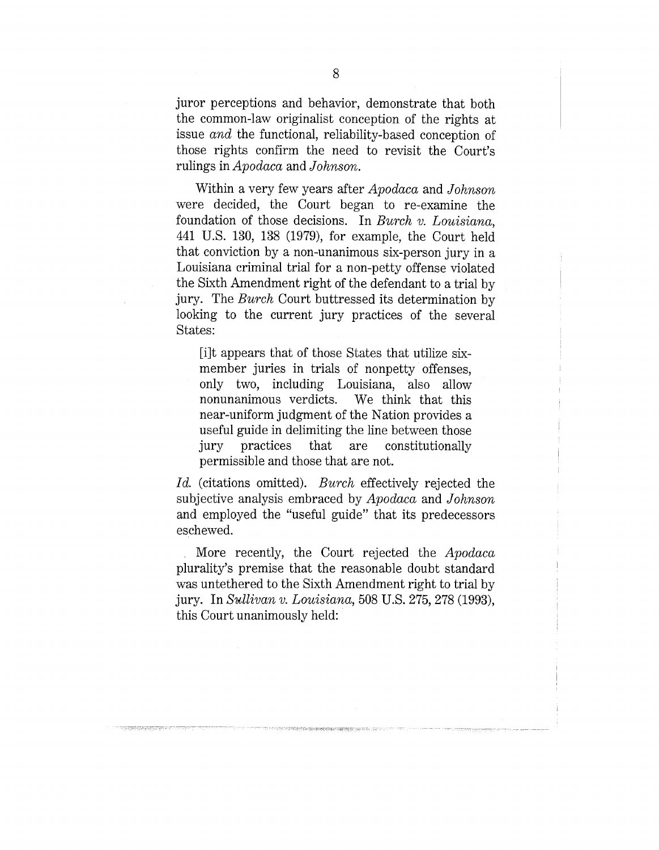juror perceptions and behavior, demonstrate that both the common-law originalist conception of the rights at issue *and* the functional, reliability-based conception of those rights confirm the need to revisit the Court's rulings in *Apodaca* and *Johnson's.*

Within a very few years after *Apodaca* and *Johnson* were decided, the Court began to re-examine the foundation of those decisions. In *Burch v. Louisiana,* 441 U.S. 130, 138 (1979), for example, the Court held that conviction by a non-unanimous six-person jury in a Louisiana criminal trial for a non-petty offense violated the Sixth Amendment right of the defendant to a trial by jury. The *Burch* Court buttressed its determination by looking to the current jury practices of the several States:

[i]t appears that of those States that utilize sixmember juries in trials of nonpetty offenses, only two, including Louisiana, also allow nonunanimous verdicts. We think that this near-uniform judgment of the Nation provides a useful guide in delimiting the line between those jury practices that are constitutionally permissible and those that are not.

*Id.* (citations omitted). *Burch* effectively rejected the subjective analysis embraced by *Apodaca* and *Johnson* and employed the "useful guide" that its predecessors eschewed.

More recently, the Court rejected the *Apodaca* plurality's premise that the reasonable doubt standard was untethered to the Sixth Amendment right to trial by jury. In *Sullivan v. Louisiana,* 508 U.S. 275, 278 (1993), this Court unanimously held: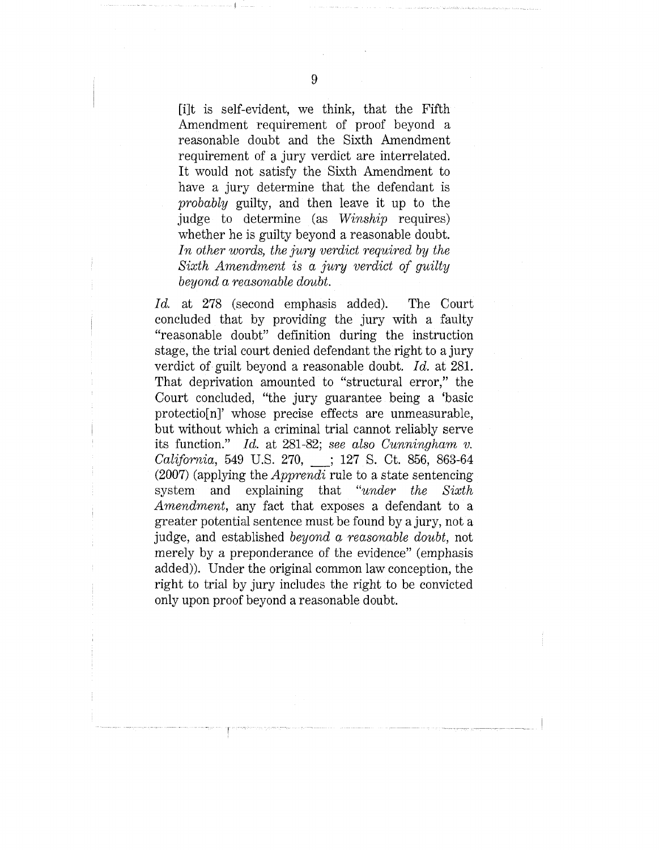[i]t is self-evident, we think, that the Fifth Amendment requirement of proof beyond a reasonable doubt and the Sixth Amendment requirement of a jury verdict are interrelated. It would not satisfy the Sixth Amendment to have a jury determine that the defendant is *probably* guilty, and then leave it up to the judge to determine (as *Winship* requires) whether he is guilty beyond a reasonable doubt. In other words, the jury verdict required by the *Sixth Amendment is ~ jury verdict of guilty beyond a reasonable doubt.*

*Id.* at 278 (second emphasis added). The Court concluded that by providing the jury with a faulty "reasonable doubt" definition during the instruction stage, the trial court denied defendant the right to a jury verdict of guilt beyond a reasonable doubt. *Id.* at 281. That deprivation amounted to "structural error," the Court concluded, "the jury guarantee being a 'basic protectio[n]' whose precise effects are unmeasurable, but without which a criminal trial cannot reliably serve its function." *Id.* at 281-82; *see also Cunningham v. Californic~,* 549 U.S. 270, \_\_.; 127 S. Ct. 856, 863-64 (2007) (applying the *Apprendi* rule to a state sentencing system and explaining that *"under the Sixth Amendment,* any fact that exposes a defendant to a greater potential sentence must be found by a jury, not a judge, and established *beyond a reasonable doubt,* not merely by a preponderance of the evidence" (emphasis added)). Under the original common law conception, the right to trial by jury includes the right to be convicted only upon proof beyond a reasonable doubt.

9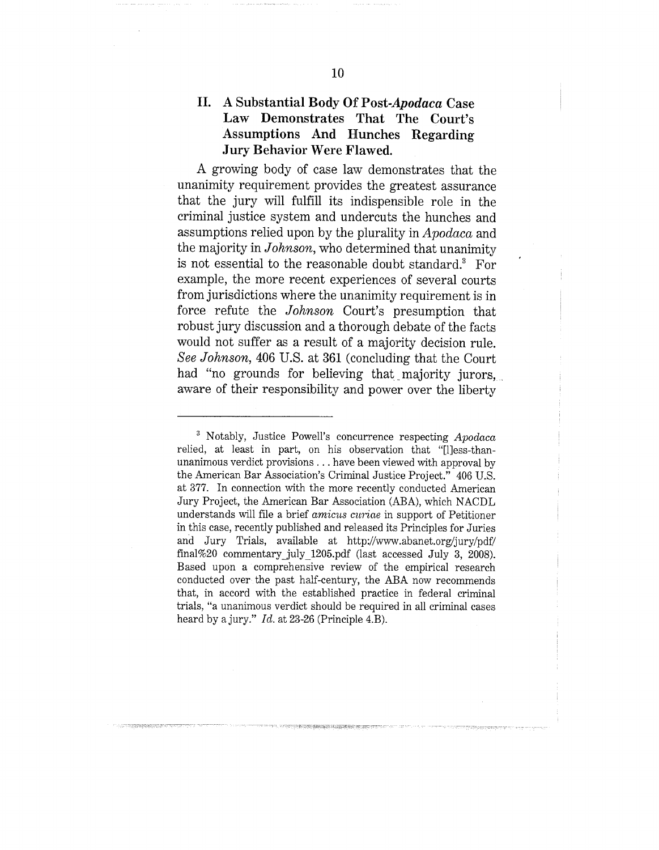### **II. A Substantial Body Of** *Post-Apodaca* **Case** Law Demonstrates That The **Court's Assumptions And Hunches Regarding Jury Behavior Were Flawed.**

A growing body of case law demonstrates that the unanimity requirement provides the greatest assurance that the jury will fulfill its indispensible role in the criminal justice system and undercuts the hunches and assumptions relied upon by the plurality in *Apodaca* and the majority in *Johnson,* who determined that unanimity is not essential to the reasonable doubt standard.<sup>3</sup> For example, the more recent experiences of several courts from jurisdictions where the unanimity requirement is in force refute the *Johnson* Court's presumption that robust jury discussion and a thorough debate of the facts would not suffer as a result of a majority decision rule. *See Johnson,* 406 U.S. at 361 (concluding that the Court had "no grounds for believing that majority jurors, aware of their responsibility and power over the liberty

<sup>~</sup> Notably, Justice Powell's concurrence respecting *Apodaca* relied, at least in part, on his observation that "[1]ess-thanunanimous verdict provisions.., have been viewed with approval by the American Bar Association's Criminal Justice Project." 406 U.S. at 377. In connection with the more recently conducted American Jury Project, the American Bar Association (ABA), which NACDL understands will file a brief *amicus curiae* in support of Petitioner in this case, recently published and released its Principles for Juries and Jury Trials, available at http://www.abanet.org/jury/pdf/ final%20 commentary\_july\_1205.pdf (last accessed July 3, 2008). Based upon a comprehensive review of the empirical research conducted over the past half-century, the ABA now recommends that, in accord with the established practice in federal criminal trials, "a unanimous verdict should be required in all criminal cases heard by a jury." *Id.* at 23-26 (Principle 4.B).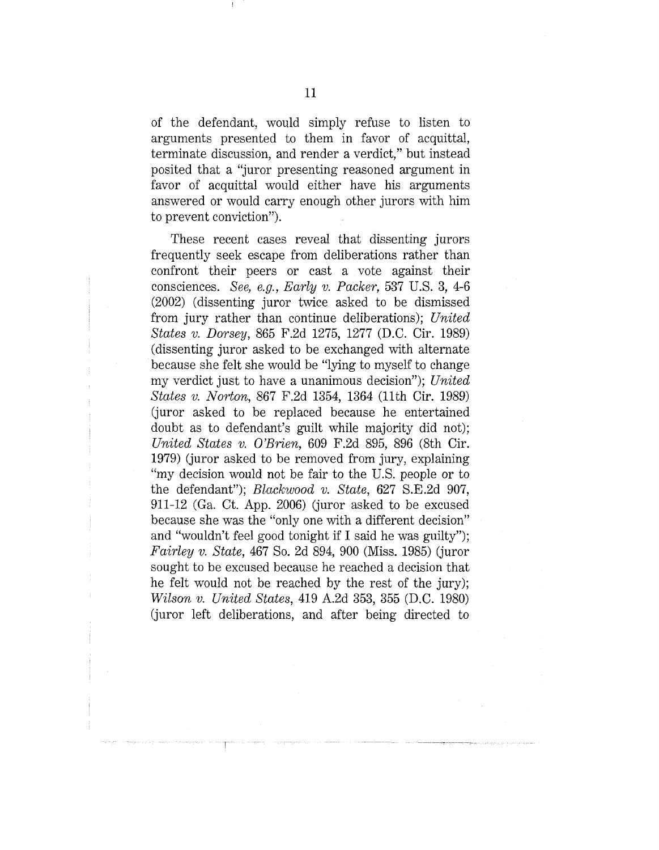of the defendant, would simply refuse to listen to arguments presented to them in favor of acquittal, terminate discussion, and render a verdict," but instead posited that a "juror presenting reasoned argument in favor of acquittal would either have his arguments answered or would carry enough other jurors with him to prevent conviction").

These recent cases reveal that dissenting jurors frequently seek escape from deliberations rather than confront their peers or cast a vote against their consciences. *See, e.g., Early v. Packer,* 537 U.S. 3, 4-6 (2002) (dissenting juror twice asked to be dismissed from jury rather than continue deliberations); *United States v. Dorsey,* 865 F.2d 1275, 1277 (D.C. Cir. 1989) (dissenting juror asked to be exchanged with alternate because she felt she would be "lying to myself to change my verdict just to have a unanimous decision"); *United States v. Norton,* 867 F.2d 1354, 1364 (11th Cir. 1989) (juror asked to be replaced because he entertained doubt as to defendant's guilt while majority did not); *United States v. O'Brien,* 609 F.2d 895, 896 (Sth Cir. 1979) (juror asked to be removed from jury, explaining "my decision would not be fair to the U.S. people or to the defendant"); *Blackwood v. State*, 627 S.E.2d 907, 911-12 (Ga. Ct. App. 2006) (juror asked to be excused because she was the "only one with a different decision" and "wouldn't feel good tonight if I said he was guilty"); *Fairley v. State,* 467 So. 2d 894, 900 (Miss. 1985) (juror sought to be excused because he reached a decision that he felt would not be reached by the rest of the jury); *Wilson v. United States,* 419 A.2d 353, 355 (D.C. 1980) (juror left deliberations, and after being directed to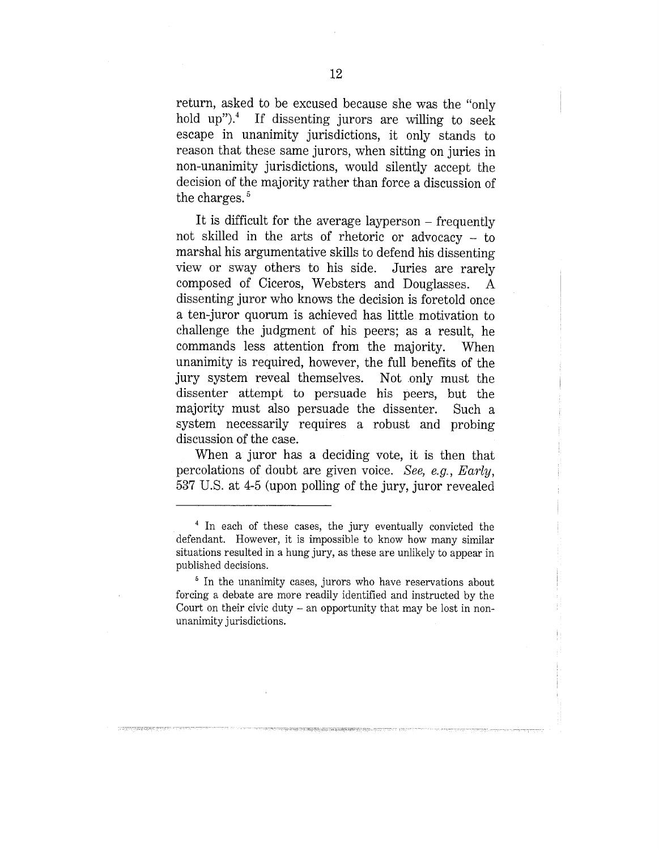return, asked to be excused because she was the "only hold up").4 If dissenting jurors are willing to seek escape in unanimity jurisdictions, it only stands to reason that these same jurors, when sitting on juries in non-unanimity jurisdictions, would silently accept the decision of the majority rather than force a discussion of the charges.<sup>5</sup>

It is difficult for the average layperson – frequently not skilled in the arts of rhetoric or advocacy - to marshal his argumentative skills to defend his dissenting view or sway others to his side. Juries are rarely composed of Ciceros, Websters and Douglasses. A dissenting juror who knows the decision is foretold once a ten-juror quorum is achieved[ has little motivation to challenge the judgment of his peers; as a result, he commands less attention from the majority. When unanimity is required, however, the full benefits of the jury system reveal themselves. Not only must the dissenter attempt to persuade his peers, but the majority must also persuade the dissenter. Such a system necessarily requires a robust and probing discussion of the case.

When a juror has a deciding vote, it is then that percolations of doubt are given, voice. *See, e.g., Early,* 537 U.S. at 4-5 (upon polling of the jury, juror revealed

<sup>4</sup> In each of these cases, the jury eventually convicted the defendant. However, it is impossible to know how many similar situations resulted in a hung jury, as these are unlikely to appear in published decisions.

<sup>&</sup>lt;sup>5</sup> In the unanimity cases, jurors who have reservations about forcing a debate are more readily identified and instructed by the Court on their civic duty  $-$  an opportunity that may be lost in nonunanimity jurisdictions.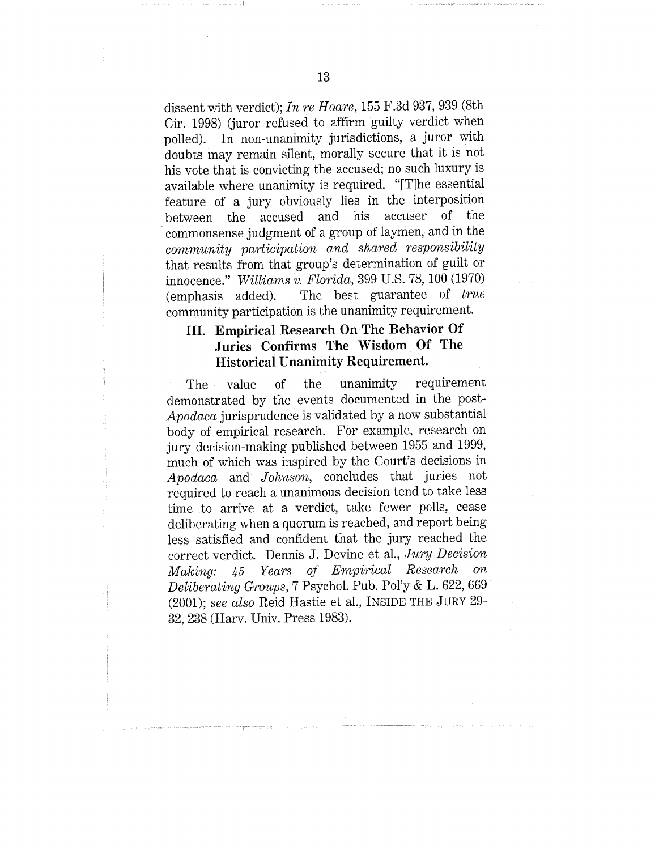dissent with verdict); *In re Hoare,* 155 F.3d 937, 939 (Sth Cir. 1998) (juror refused to affirm guilty verdict when polled). In non-unanimity jurisdictions, a juror with doubts may remain silent, morally secure that it is not his vote that is convicting the accused; no such luxury is available where unanimity is required. "[T]he essential feature of a jury obviously lies in the interposition between the accused and his commonsense judgment of a group of laymen, and in the *community participation and shared responsibility* that results from that group's determination of guilt or innocence." *Williams v. Florida*, 399 U.S. 78, 100 (1970) (emphasis added). The best guarantee of *true* The best guarantee of *true* community participation is the unanimity requirement.

## **III. Empirical Research On The Behavior Of Juries Confirms The Wisdom Of The Historical Unanimity Requirement.**

The value of the unanimity requirement demonstrated by the events documented in the post-*Apodaca* jurisprudence is validated by a now substantial body of empirical research. For example, research on jury decision-making published between 1955 and 1999, much of which was inspired by the Court's decisions in *Apodaca* and *Johnson,* concludes that juries not required to reach a unanimous decision tend to take less time to arrive at a verdict, take fewer polls, cease deliberating when a quorum is reached, and report being less satisfied and confident that the jury reached the correct verdict. Dennis J. Devine et al., *Jury Decision Making: 45 Years of Empirical Research on Deliberating Groups, 7 Psychol. Pub. Pol'y & L. 622, 669* (2001); *see also* Reid Hastie et al., INSIDE THE JURY 29- 32, 238 (Harv. Univ. Press 1983).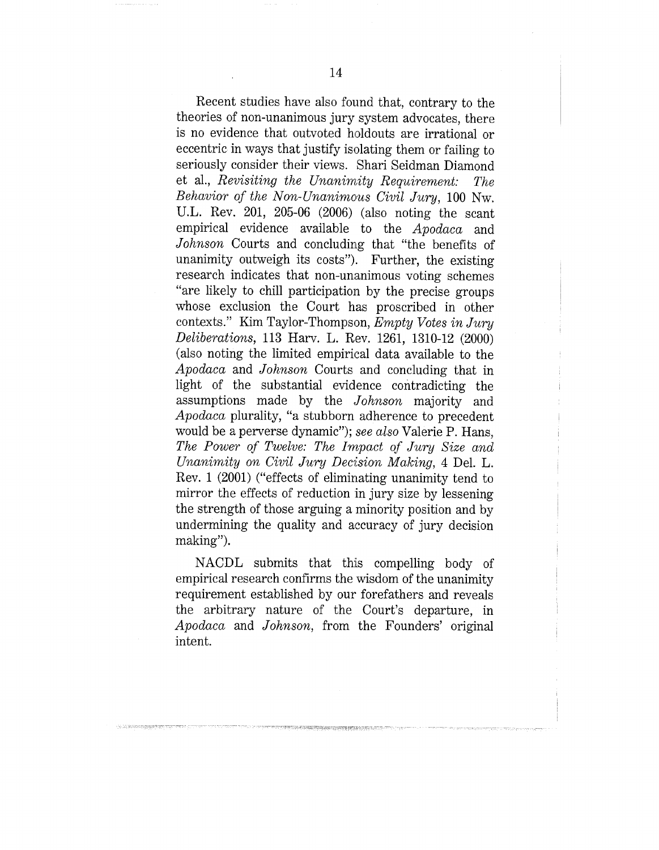Recent studies have also found that, contrary to the theories of non-unanimous jury system advocates, there is no evidence that outvoted holdouts are irrational or eccentric in ways that justify isolating them or failing to seriously consider their views. Shari Seidman Diamond et al., *Revisiting the Unanimity Requirement: The Behavior of the Non-Unanimous Civil Jury,* 100 Nw. U.L. Rev. 201, 205-06 (2006) (also noting the scant empirical evidence available to the *Apodaca* and *Johnson* Courts and concluding that "the benefits of unanimity outweigh its costs"). Further, the existing research indicates that non-unanimous voting schemes "are likely to chill participation by the precise groups whose exclusion the Court has proscribed in other contexts." Kim Taylor-Thompson, *Empty Votes in Jury Deliberations,* 113 Harv. L. Rev. 1261, 1310-12 (2000) (also noting the limited empirical data available to the *Apodaca* and *Johnson* Courts and concluding that in light of the substantial evidence contradicting the assumptions made by the *Johnson* majority and *Apodaca* plurality, "a stubborn adherence to precedent would be a perverse dynamic"); *see also* Valerie P. Hans, *The Power of Twelve: The Impact of Jumj Size and Unanimity on Civil Jury Decision Making,* 4 Del. L. Rev. 1 (2001) ("effects of eliminating unanimity tend to mirror the effects of reduction in jury size by lessening the strength of those arguing a minority position and by undermining the quality and accuracy of jury decision making").

NACDL submits that this compelling body of empirical research confirms the wisdom of the unanimity requirement established by our forefathers and reveals the arbitrary nature of the Court's departure, in *Apodaca* and *Johnson,* from the Founders' original intent.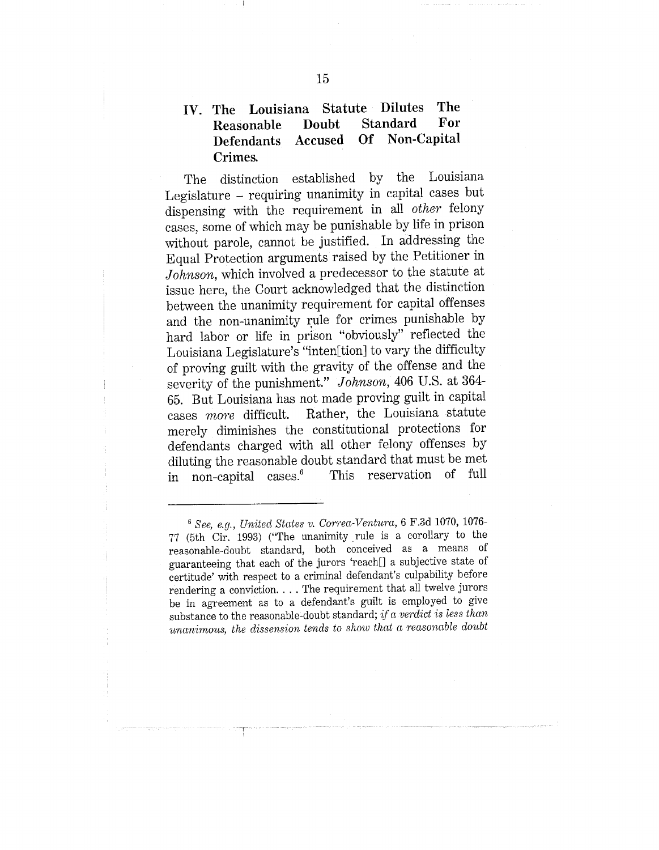## **IV. The Louisiana Statute Dilutes The Reasonable Defendants Accused Of Non-Capital Crimes.**

**The distinction established by the Louisiana** Legislature - requiring unanimity in capital cases but dispensing with the requirement in all *other* felony cases, some of which may be punishable by life in prison without parole, cannot be justified. In addressing the Equal Protection arguments raised by the Petitioner in Johnson, which involved a predecessor to the statute at issue here, the Court acknowledged that the distinction between the unanimity requirement for capital offenses and the non-unanimity rule for crimes punishable by hard labor or life in prison "obviously" reflected the Louisiana Legislature's "inten[tion] to vary the difficulty of proving guilt with the gravity of the offense and the severity of the punishment." *Johnson,* 406 U.S. at 364- 65. But Louisiana has not made proving guilt in capital cases *more* difficult. Rather, the Louisiana statute Rather, the Louisiana statute merely diminishes the constitutional protections for defendants charged with all other felony offenses by diluting the reasonable doubt standard that must be met<br>in non-capital cases.<sup>6</sup> This reservation of full in non-capital cases.<sup>6</sup>

*<sup>~</sup> See, e.g., U, nited States v. Correa-Ventura,* 6 F.3d 1070, 1076- 77 (5th Cir. 1993) ("The unanimity rule is a corollary to the reasonable-doubt standard, both conceived as a means of guaranteeing that each of the jurors 'reach[] a subjective state of certitude' with respect co a criminal defendant's culpability before rendering a conviction. . . . The requirement that all twelve jurors be in agreement as to a defendant's guilt is employed to give substance to the reasonable-doubt standard; *if a verdict is less than unanimous, the dissension tends to show that a reasonable doubt*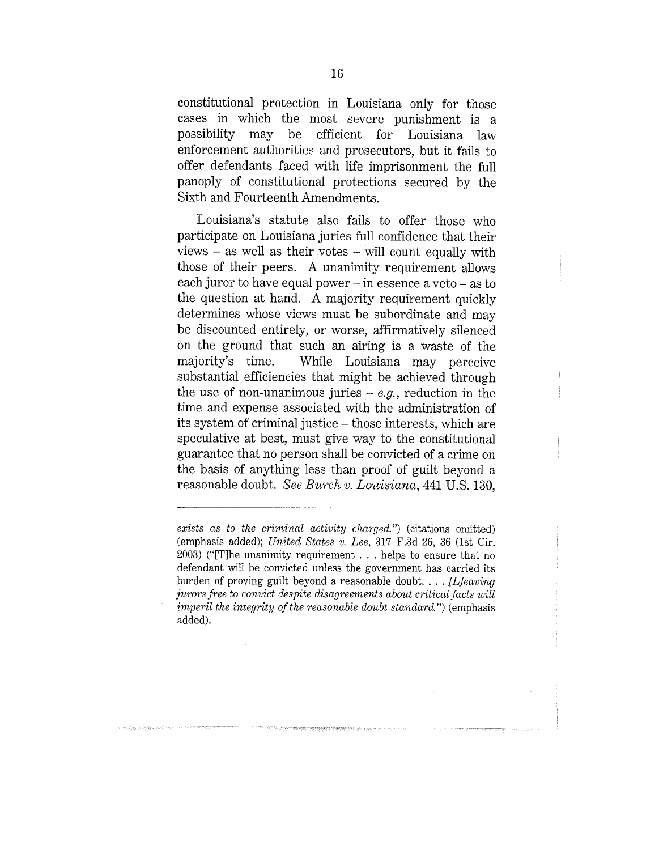constitutional protection in Louisiana only for those cases in which the most severe punishment is a possibility may be efficient for Louisiana law enforcement authorities and prosecutors, but it fails to offer defendants faced with life imprisonment the full panoply of constitutional protections secured by the Sixth and Fourteenth Amendments.

Louisiana's statute also fails to offer those who participate on Louisiana juries full confidence that their views - as well as their votes - will count equally with those of their peers. A unanimity requirement allows each juror to have equal power - in essence a veto - as to the question at hand. A majority requirement quickly determines whose views must be subordinate and may be discounted entirely, or worse, affirmatively silenced on the ground that such an airing is a waste of the majority's time. While Louisiana may perceive substantial efficiencies that might be achieved through the use of non-unanimous juries  $-e.g.,$  reduction in the time and expense associated with the administration of its system of criminal justice - those interests, which are speculative at best, must give way to the constitutional guarantee that no person shall be convicted of a crime on the basis of anything less than proof of guilt beyond a reasonable doubt. *See Burch v. Louisiana,* 441 U.S. 130,

STORE CONTROLLER CONTROL

*exists as to the criminal activity charged.")* (citations omitted) (emphasis added); *United States v. Lee,* 317 F.3d 26, 36 (1st Cir.  $2003$ ) ("[T]he unanimity requirement . . . helps to ensure that no defendant will be convicted unless the government has carried its burden of proving guilt beyond a reasonable doubt .... *[L]eaving jurors free to convict despite disagreements about critical facts will imperil the integrity of the reasonable doubt standard.")* (emphasis added).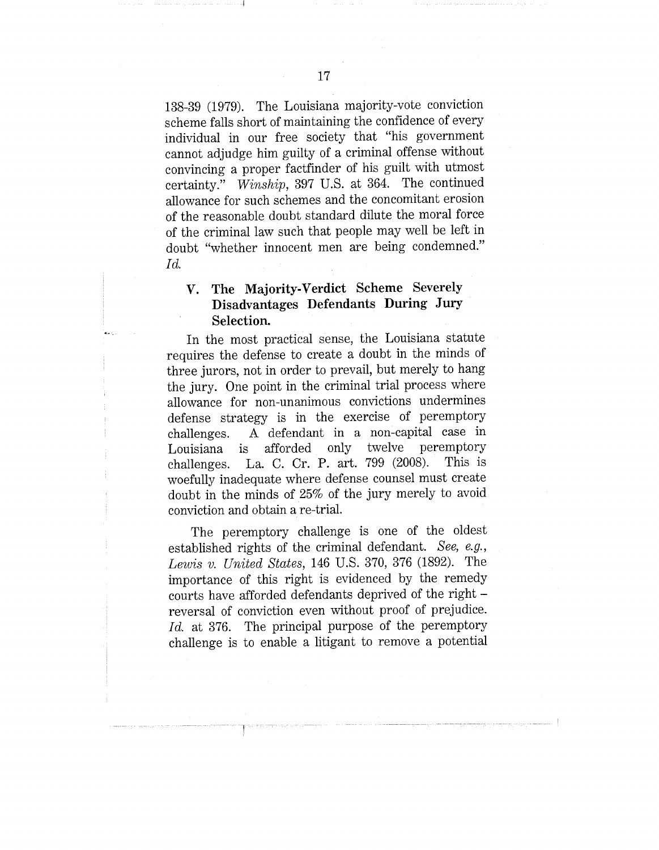138-39 (1979). The Louisiana majority-vote conviction scheme falls short of maintaining the confidence of every individual in our free society that "his government cannot adjudge him guilty of a criminal offense without convincing a proper factfinder of his guilt with utmost certainty." *Winship,* 397 U.S. at 364. The continued allowance for such schemes and the concomitant erosion of the reasonable doubt standard dilute the moral force of the criminal law such that people may well be left in doubt "whether innocent men are being condemned." *Id.*

## **V. The Majority-Verdict Scheme Severely Disadvantages Defendants During Jury Selection.**

In the most practical sense, the Louisiana statute requires the defense to create a doubt in the minds of three jurors, not in order to prevail, but merely to hang the jury. One point in the criminal trial process where allowance for non-unanimous convictions undermines defense strategy is in the exercise of peremptory challenges. A defendant in a non-capital case in Louisiana is afforded only twelve peremptory<br>challenges La C Cr P art 799 (2008). This is challenges. La. C. Cr. P. art.  $799$  (2008). woefully inadequate where defense counsel must create doubt in the minds of 25% of the jury merely to avoid conviction and obtain a re-trial.

The peremptory challenge is one of the oldest established rights of the criminal defendant. *See, e.g., Lewis v. United States,* 146 U.S. 370, 376 (1892). The importance of this right is evidenced by the remedy courts have afforded defendants deprived of the rightreversal of conviction even without proof of prejudice. *Id.* at 376. The principal purpose of the peremptory challenge is co enable a litigant to remove a potential

17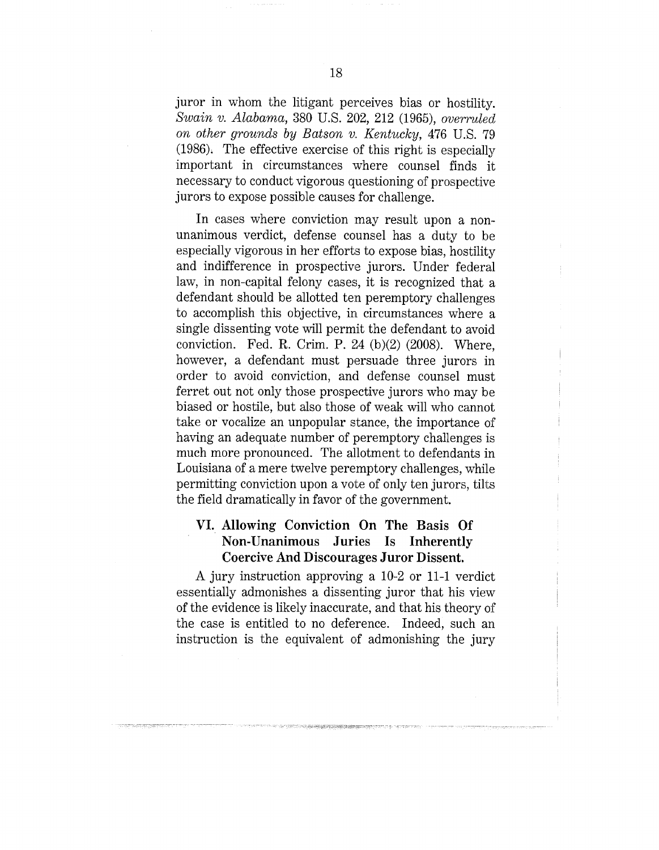juror in whom the litigant perceives bias or hostility. *Swain v. Alabama,* 380 U.S. 202, 212 (1965), *overruled on other grounds by Batson v.. Kentucky,* 476 U.S. 79 (1986), The effective exercise of this right is especially important in circumstances where counsel finds it necessary to conduct vigorous questioning of prospective jurors to expose possible causes for challenge.

In cases where conviction may result upon a nonunanimous verdict, defense counsel has a duty to be especially vigorous in her efforts to expose bias, hostility and indifference in prospective jurors. Under federal law, in non-capital felony cases, it is recognized that a defendant should be allotted ten peremptory challenges to accomplish this objective, in circumstances where a single dissenting vote will permit the defendant to avoid conviction. Fed. R, Crim. P. 24 (b)(2) (2008). Where, however, a defendant must persuade three jurors in order to avoid conviction, and defense counsel must ferret out not only those prospective jurors who may be biased or hostile, but also those of weak will who cannot take or vocalize an unpopular stance, the importance of having an adequate number of peremptory challenges is much more pronounced. The allotment to defendants in Louisiana of a mere twelve peremptory challenges, while permitting conviction upon a vote of only ten jurors, tilts the field dramatically in favor of the government.

### **VI. Allowing Conviction On The Basis Of Non-Unanimous Juries Is Inherently Coercive And Discourages Juror Dissent.**

A jury instruction approving a 10-2 or 11-1 verdict essentially admonishes a dissenting juror that his view of the evidence is likely inaccurate, and that his theory of the case is entitled to no deference. Indeed, such an instruction is the equivalent of admonishing the jury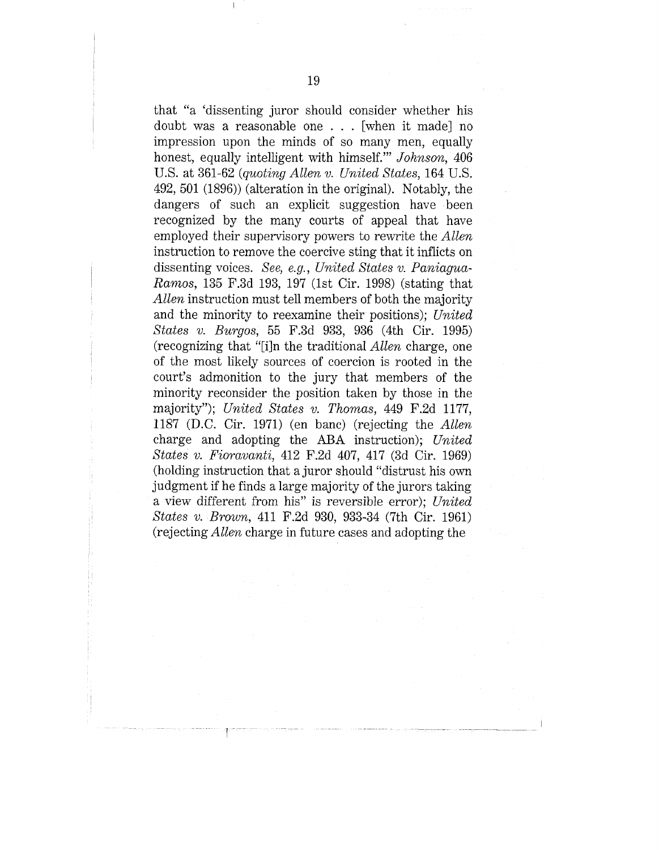that "a 'dissenting juror should consider whether his doubt was a reasonable one . . . [when it made] no impression upon the minds of so many men, equally honest, equally intelligent with himself.'" *Johnson,* 406 U.S. at 361-62 *(quoting Allen v. United States,* 164 U.S. 492, 501 (1896)) (alteration in the original). Notably, the dangers of such an explicit suggestion have been recognized by the many courts of appeal that have employed their supervisory powers to rewrite the *Allen* instruction to remove the coercive sting that it inflicts on dissenting voices. *See, e.g., United States v. Paniagua-Ra~nos,* 135 F.3d 193, 197 (1st Cir. 1998) (stating that *Allen* instruction must tell members of both the majority and the minority to reexamine their positions); *United States v. Burgos,* 55 F.3d 933, 936 (4th Cir. 1995) (recognizing that "[i]n the traditional *Allen* charge, one of the most likely sources of coercion is rooted in the court's admonition to the jury that members of the minority reconsider the position taken by those in the majority"); *United States v. Thomas,* 449 F.2d 1177, 1187 (D.C. Cir. 1971) (en banc) (rejecting the *Allen* charge and adopting the ABA instruction); *United States v. Fioravanti,* 412 F.2d 407, 417 (3d Cir. 1969) (holding instruction that a juror should "distrust his own judgment if he finds a large majority of the jurors taking a view different from his" is reversible error); *United States v. Brown,* 411 F.2d 930, 933-34 (7th Cir. 1961) (rejecting *Allen* charge in future cases and adopting the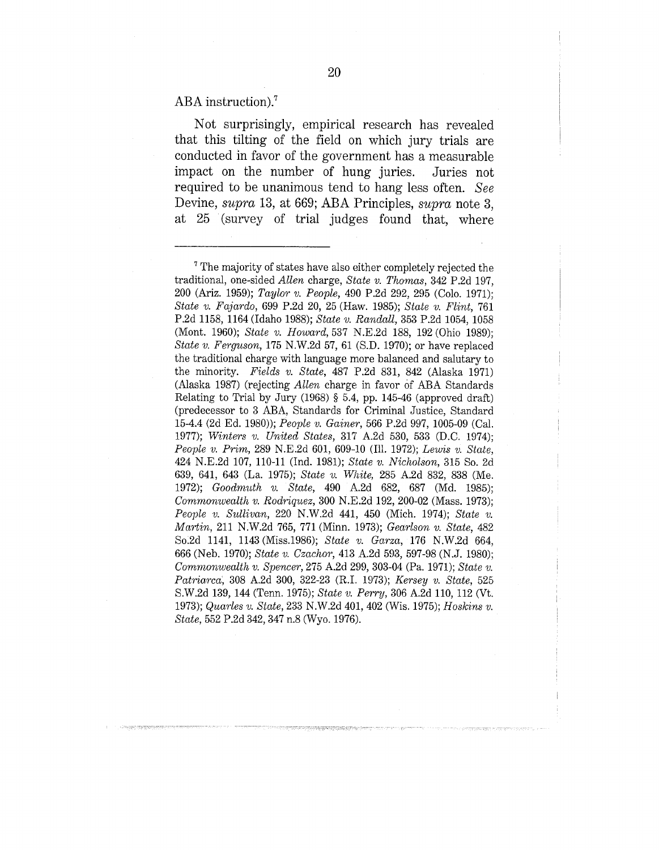ABA instruction).7

**Not surprisingly, empirical research has revealed** that this tilting of the field on which jury trials are **conducted in favor of the government has a measurable impact on the number of hung juries. Juries not required to be unanimous tend to hang less often.** *See* **Devine,** *supra* **13, at 669; ABA Principles,** *supra* **note 3, at 25 (survey of trial judges found that, where**

 $7$  The majority of states have also either completely rejected the traditional, one-sided *Allen* charge, *State v. Thomas,* 342 P.2d 197, 200 (Ariz. 1959); *Taylor v. People,* 490 P.2d 292, 295 (Colo. 1971); *State v. Fajardo,* 699 P.2d 20, 25 (Haw. 1985); *State v. Flint,* 761 P.2d 1158, 1164 (Idaho 1988); *State v. Randall,* 353 P.2d 1054, 1058 (Mont. 1960); *State v. Howard,* 537 N.E.2d 188, 192 (Ohio 1989); *State v. Ferguson,* 175 N.W.2d 57, 61 (S.D. 1970); or have replaced the traditional charge with language more balanced and salutary to the minority. *Fields v. State,* 487 P.2d 831, 842 (Alaska 1971) (Alaska 1987) (rejecting *Allen* charge in favor of ABA Standards Relating to Trial by Jury (1968) § 5.4, pp. 145-46 (approved draft) (predecessor to 3 ABA, Standards for Criminal Justice, Standard 15-4.4 (2d Ed. 1980)); *People v. Gainer,* 566 P.2d 997, 1005-09 (Cal. 1977); *Winters v. United States,* 317 A.2d 530, 533 (D.C. 1974); *People v. Prim,* 289 N.E.2d 601, 609-10 (Ill. 1972); *Lewis v. State,* 424 N.E.2d 107, 110-11 (Ind. 1981); *State v. Nicholson,* 315 So. 2d 639, 641, 643 (La. 1975); *State v. White,* 285 A.2d 832, 838 (Me. 1972); *Goodmuth v. State,* 490 A.2d 682, 687 (Md. 1985); *Commonwealth v. Rod~iquez,* 300 N.E.2d 192, 200-02 (Mass. 1973); *People v. Sullivan,* 220 N.W.2d 441, 450 (Mich. 1974); *State v. Martin,* 211 N.W.2d 765, 771 (Minn. 1973); *Gearlso~ v. State,* 482 Soi2d 1141, 1143 (Miss.1986); *State v. Garza,* 176 N.W.2d 664, 666 (Neb. 1970); *State v. Czachor,* 413 A.2d 593, 597-98 (N.J. 1980); *Com~onwealth v. Spencer,* 275 A.2d 299, 303-04 (Pa. 1971); *State v. Patriarca~,* 308 A.2d 300, 322-23 (R.I., 1973); *Kersey v. State,* 525 S.W.2d 139, 144 (Tenn. 1975); *State v. Perry,* 306 A.2d 110, 112 (Vt. 1973); *Quarles v. State,* 233 N.W.2d 401,402 (Wis. 1975); *Hoskins v. State,* 552 P.2d 342, 347 n.8 (Wyo. 1976).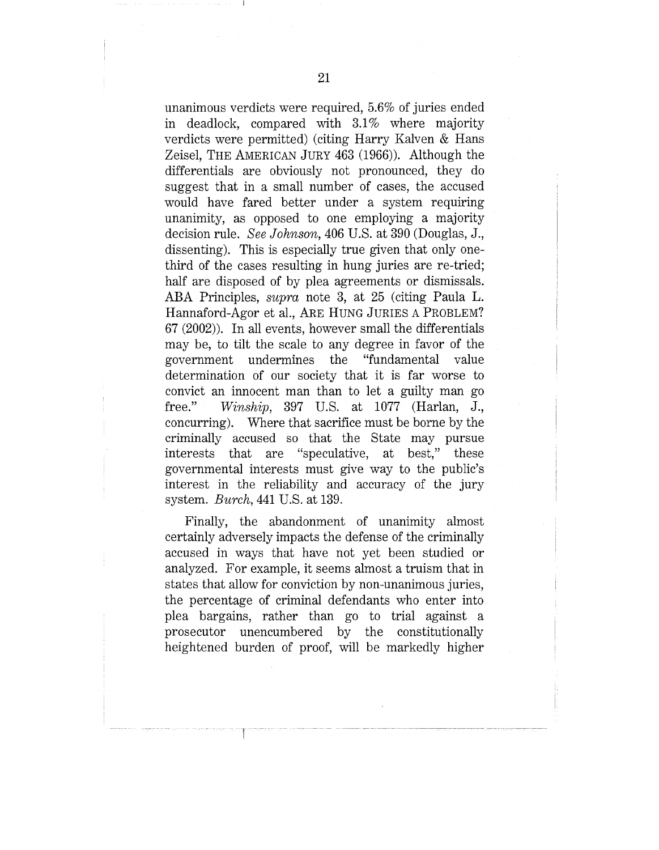unanimous verdicts were required, 5.6% of juries ended in deadlock, compared with 3.1% where majority verdicts were permitted) (citing Harry Kalven & Hans Zeisel, THE AMERICAN JURY 463 (1966)). Although the differentials are obviously not pronounced, they do suggest that in a small number of cases, the accused would have fared better under a system requiring unanimity, as opposed to one employing a majority decision rule. *See Johnson*, 406 U.S. at 390 (Douglas, J., dissenting). This is especially true given that only onethird of the cases resulting in hung juries are re-tried; half are disposed of by plea agreements or dismissals. ABA Principles, *supra* note 3, at 25 (citing Paula L. Hannaford-Agor et al., ARE HUNG JURIES A PROBLEM? 67 (2002)). In all events, however small the differentials may be, to tilt the scale to any degree in favor of the government undermines the "fundamental value determination of our society that it is far worse to convict an innocent man than to let a guilty man go free." *Winship*, 397 U.S. at 1077 (Harlan, J., concurring). Where that sacrifice must be borne by the criminally accused so that the State may pursue interests that are "speculative, at best," these governmental interests must give way to the public's interest in the reliability and accuracy of the jury system. *Burch*, 441 U.S. at 139.

Finally, the abandonment of unanimity almost certainly adversely impacts the defense of the criminally accused in ways that have not yet been studied or analyzed. For example, it seems almost a truism that in states that allow for conviction by non-unanimous juries, the percentage of criminal defendants who enter into plea bargains, rather than go to trial against a prosecutor unencumbered by the constitutionally heightened burden of proof, will be markedly higher